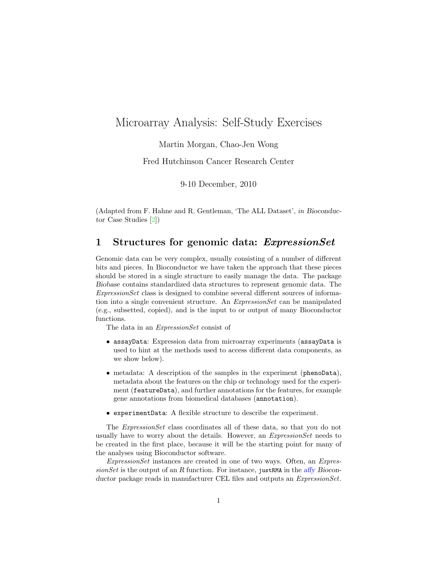# Microarray Analysis: Self-Study Exercises

Martin Morgan, Chao-Jen Wong

Fred Hutchinson Cancer Research Center

9-10 December, 2010

(Adapted from F. Hahne and R. Gentleman, 'The ALL Dataset', in Bioconductor Case Studies [\[2\]](#page-5-0))

## 1 Structures for genomic data: ExpressionSet

Genomic data can be very complex, usually consisting of a number of different bits and pieces. In Bioconductor we have taken the approach that these pieces should be stored in a single structure to easily manage the data. The package Biobase contains standardized data structures to represent genomic data. The ExpressionSet class is designed to combine several different sources of information into a single convenient structure. An ExpressionSet can be manipulated (e.g., subsetted, copied), and is the input to or output of many Bioconductor functions.

The data in an ExpressionSet consist of

- assayData: Expression data from microarray experiments (assayData is used to hint at the methods used to access different data components, as we show below).
- metadata: A description of the samples in the experiment (phenoData), metadata about the features on the chip or technology used for the experiment (featureData), and further annotations for the features, for example gene annotations from biomedical databases (annotation).
- experimentData: A flexible structure to describe the experiment.

The ExpressionSet class coordinates all of these data, so that you do not usually have to worry about the details. However, an *ExpressionSet* needs to be created in the first place, because it will be the starting point for many of the analyses using Bioconductor software.

ExpressionSet instances are created in one of two ways. Often, an ExpressionSet is the output of an R function. For instance, just RMA in the [affy](http://bioconductor.org/packages/release/bioc/html/affy.html) Bioconductor package reads in manufacturer CEL files and outputs an *ExpressionSet*.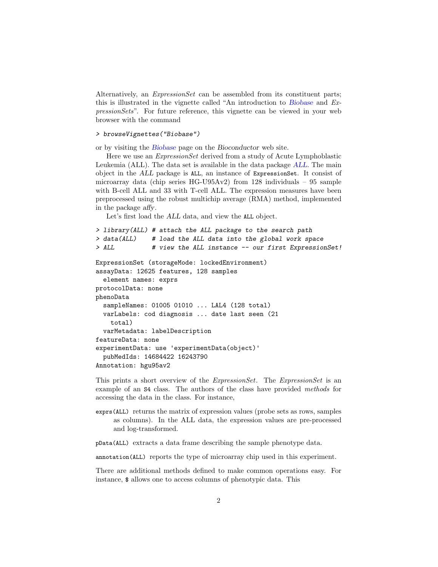Alternatively, an *ExpressionSet* can be assembled from its constituent parts; this is illustrated in the vignette called "An introduction to [Biobase](http://bioconductor.org/packages/release/bioc/html/Biobase.html) and ExpressionSets". For future reference, this vignette can be viewed in your web browser with the command

### > browseVignettes("Biobase")

or by visiting the [Biobase](http://bioconductor.org/packages/release/bioc/html/Biobase.html) page on the Bioconductor web site.

Here we use an ExpressionSet derived from a study of Acute Lymphoblastic Leukemia (ALL). The data set is available in the data package [ALL](http://bioconductor.org/packages/release/data/experiment/html/ALL.html). The main object in the ALL package is ALL, an instance of ExpressionSet. It consist of microarray data (chip series  $HG-U95Av2$ ) from 128 individuals – 95 sample with B-cell ALL and 33 with T-cell ALL. The expression measures have been preprocessed using the robust multichip average (RMA) method, implemented in the package affy.

Let's first load the ALL data, and view the ALL object.

```
> library(ALL) # attach the ALL package to the search path
> data(ALL) # load the ALL data into the global work space
> ALL # view the ALL instance -- our first ExpressionSet!
ExpressionSet (storageMode: lockedEnvironment)
assayData: 12625 features, 128 samples
  element names: exprs
protocolData: none
phenoData
  sampleNames: 01005 01010 ... LAL4 (128 total)
  varLabels: cod diagnosis ... date last seen (21
    total)
  varMetadata: labelDescription
featureData: none
experimentData: use 'experimentData(object)'
 pubMedIds: 14684422 16243790
Annotation: hgu95av2
```
This prints a short overview of the ExpressionSet. The ExpressionSet is an example of an S4 class. The authors of the class have provided methods for accessing the data in the class. For instance,

exprs(ALL) returns the matrix of expression values (probe sets as rows, samples as columns). In the ALL data, the expression values are pre-processed and log-transformed.

pData(ALL) extracts a data frame describing the sample phenotype data.

annotation(ALL) reports the type of microarray chip used in this experiment.

There are additional methods defined to make common operations easy. For instance, \$ allows one to access columns of phenotypic data. This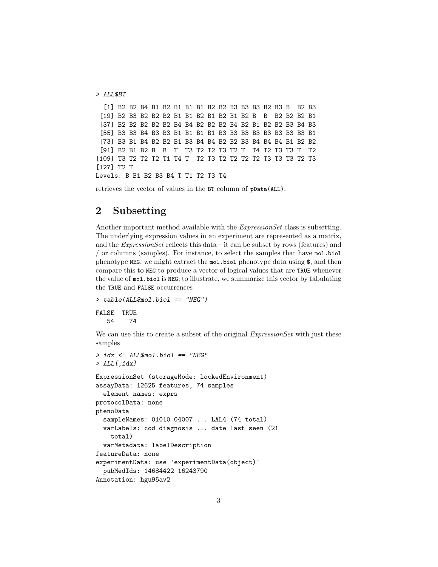> ALL\$BT

[1] B2 B2 B4 B1 B2 B1 B1 B1 B2 B2 B3 B3 B3 B2 B3 B B2 B3 [19] B2 B3 B2 B2 B2 B1 B1 B2 B1 B2 B1 B2 B B B2 B2 B2 B1 [37] B2 B2 B2 B2 B2 B4 B4 B2 B2 B2 B4 B2 B1 B2 B2 B3 B4 B3 [55] B3 B3 B4 B3 B3 B1 B1 B1 B1 B3 B3 B3 B3 B3 B3 B3 B3 B1 [73] B3 B1 B4 B2 B2 B1 B3 B4 B4 B2 B2 B3 B4 B4 B4 B1 B2 B2 [91] B2 B1 B2 B B T T3 T2 T2 T3 T2 T T4 T2 T3 T3 T T2 [109] T3 T2 T2 T2 T1 T4 T T2 T3 T2 T2 T2 T2 T3 T3 T3 T2 T3 [127] T2 T Levels: B B1 B2 B3 B4 T T1 T2 T3 T4

retrieves the vector of values in the BT column of pData(ALL).

# 2 Subsetting

Another important method available with the ExpressionSet class is subsetting. The underlying expression values in an experiment are represented as a matrix, and the  $ExpressionSet$  reflects this data – it can be subset by rows (features) and / or columns (samples). For instance, to select the samples that have mol.biol phenotype NEG, we might extract the mol.biol phenotype data using \$, and then compare this to NEG to produce a vector of logical values that are TRUE whenever the value of mol.biol is NEG; to illustrate, we summarize this vector by tabulating the TRUE and FALSE occurrences

 $>$  table(ALL\$mol.biol == "NEG")

```
FALSE TRUE
  54 74
```
We can use this to create a subset of the original *ExpressionSet* with just these samples

```
> idx <- ALL$mol.biol == "NEG"
> ALL[,idx]
ExpressionSet (storageMode: lockedEnvironment)
assayData: 12625 features, 74 samples
  element names: exprs
protocolData: none
phenoData
  sampleNames: 01010 04007 ... LAL4 (74 total)
 varLabels: cod diagnosis ... date last seen (21
    total)
  varMetadata: labelDescription
featureData: none
experimentData: use 'experimentData(object)'
 pubMedIds: 14684422 16243790
Annotation: hgu95av2
```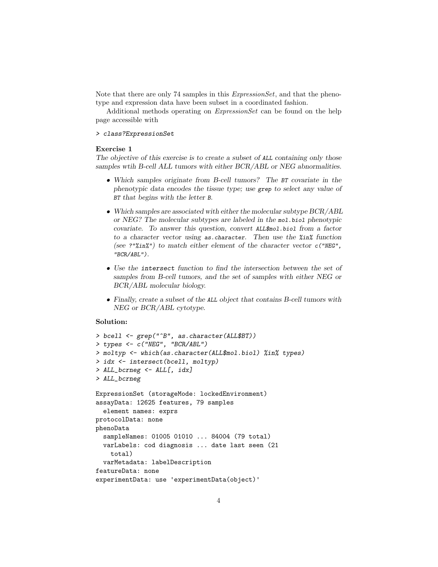Note that there are only 74 samples in this *ExpressionSet*, and that the phenotype and expression data have been subset in a coordinated fashion.

Additional methods operating on *ExpressionSet* can be found on the help page accessible with

### > class?ExpressionSet

### Exercise 1

The objective of this exercise is to create a subset of ALL containing only those samples wtih B-cell ALL tumors with either BCR/ABL or NEG abnormalities.

- Which samples originate from B-cell tumors? The BT covariate in the phenotypic data encodes the tissue type; use grep to select any value of BT that begins with the letter B.
- Which samples are associated with either the molecular subtype BCR/ABL or NEG? The molecular subtypes are labeled in the mol.biol phenotypic covariate. To answer this question, convert ALL\$mol.biol from a factor to a character vector using as.character. Then use the %in% function (see ?"%in%") to match either element of the character vector  $c$  ("NEG", "BCR/ABL").
- Use the intersect function to find the intersection between the set of samples from B-cell tumors, and the set of samples with either NEG or BCR/ABL molecular biology.
- Finally, create a subset of the ALL object that contains B-cell tumors with NEG or BCR/ABL cytotype.

## Solution:

```
> bcell <- grep("^B", as.character(ALL$BT))
> types <- c("NEG", "BCR/ABL")
> moltyp <- which(as.character(ALL$mol.biol) %in% types)
> idx <- intersect(bcell, moltyp)
> ALL_bcrneg <- ALL[, idx]
> ALL_bcrneg
ExpressionSet (storageMode: lockedEnvironment)
assayData: 12625 features, 79 samples
  element names: exprs
protocolData: none
phenoData
  sampleNames: 01005 01010 ... 84004 (79 total)
  varLabels: cod diagnosis ... date last seen (21
    total)
  varMetadata: labelDescription
featureData: none
experimentData: use 'experimentData(object)'
```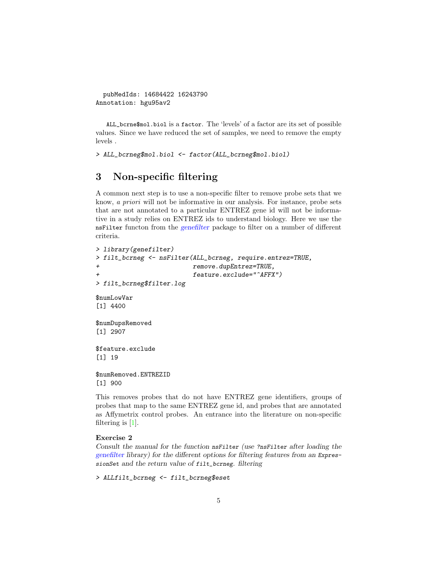```
pubMedIds: 14684422 16243790
Annotation: hgu95av2
```
ALL\_bcrne\$mol.biol is a factor. The 'levels' of a factor are its set of possible values. Since we have reduced the set of samples, we need to remove the empty levels .

> ALL\_bcrneg\$mol.biol <- factor(ALL\_bcrneg\$mol.biol)

# 3 Non-specific filtering

A common next step is to use a non-specific filter to remove probe sets that we know, a priori will not be informative in our analysis. For instance, probe sets that are not annotated to a particular ENTREZ gene id will not be informative in a study relies on ENTREZ ids to understand biology. Here we use the nsFilter functon from the [genefilter](http://bioconductor.org/packages/release/bioc/html/genefilter.html) package to filter on a number of different criteria.

```
> library(genefilter)
> filt_bcrneg <- nsFilter(ALL_bcrneg, require.entrez=TRUE,
+ remove.dupEntrez=TRUE,
+ feature.exclude="^AFFX")
> filt_bcrneg$filter.log
$numLowVar
[1] 4400
$numDupsRemoved
[1] 2907
$feature.exclude
[1] 19
$numRemoved.ENTREZID
[1] 900
```
This removes probes that do not have ENTREZ gene identifiers, groups of probes that map to the same ENTREZ gene id, and probes that are annotated as Affymetrix control probes. An entrance into the literature on non-specific filtering is [\[1\]](#page-5-1).

### Exercise 2

Consult the manual for the function nsFilter (use ?nsFilter after loading the [genefilter](http://bioconductor.org/packages/release/bioc/html/genefilter.html) library) for the different options for filtering features from an ExpressionSet and the return value of filt\_bcrneg. filtering

> ALLfilt\_bcrneg <- filt\_bcrneg\$eset